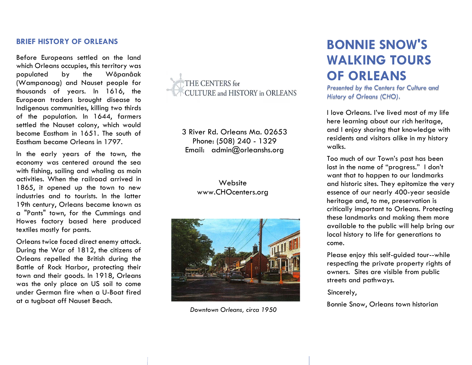#### **BRIEF HISTORY OF ORLEANS**

Before Europeans settled on the land which Orleans occupies, this territory was populated by the Wôpanâak (Wampanoag) and Nauset people for thousands of years. In 1616, the European traders brought disease to Indigenous communities, killing two thirds of the population. In 1644, farmers settled the Nauset colony, which would become Eastham in 1651. The south of Eastham became Orleans in 1797.

In the early years of the town, the economy was centered around the sea with fishing, sailing and whaling as main activities. When the railroad arrived in 1865, it opened up the town to new industries and to tourists. In the latter 19th century, Orleans became known as a "Pants" town, for the Cummings and Howes factory based here produced textiles mostly for pants.

Orleans twice faced direct enemy attack. During the War of 1812, the citizens of Orleans repelled the British during the Battle of Rock Harbor, protecting their town and their goods. In 1918, Orleans was the only place on US soil to come under German fire when a U-Boat fired at a tugboat off Nauset Beach.



3 River Rd. Orleans Ma. 02653 Phone: (508) 240 - 1329 Email: admin@orleanshs.org

#### **Website** www.CHOcenters.org



*Downtown Orleans, circa 1950*

## **BONNIE SNOW'S WALKING TOURS OF ORLEANS**

*Presented by the Centers for Culture and History of Orleans (CHO).*

I love Orleans. I've lived most of my life here learning about our rich heritage, and I enjoy sharing that knowledge with residents and visitors alike in my history walks.

Too much of our Town's past has been lost in the name of "progress." I don't want that to happen to our landmarks and historic sites. They epitomize the very essence of our nearly 400-year seaside heritage and, to me, preservation is critically important to Orleans. Protecting these landmarks and making them more available to the public will help bring our local history to life for generations to come.

Please enjoy this self-guided tour--while respecting the private property rights of owners. Sites are visible from public streets and pathways.

Sincerely,

Bonnie Snow, Orleans town historian